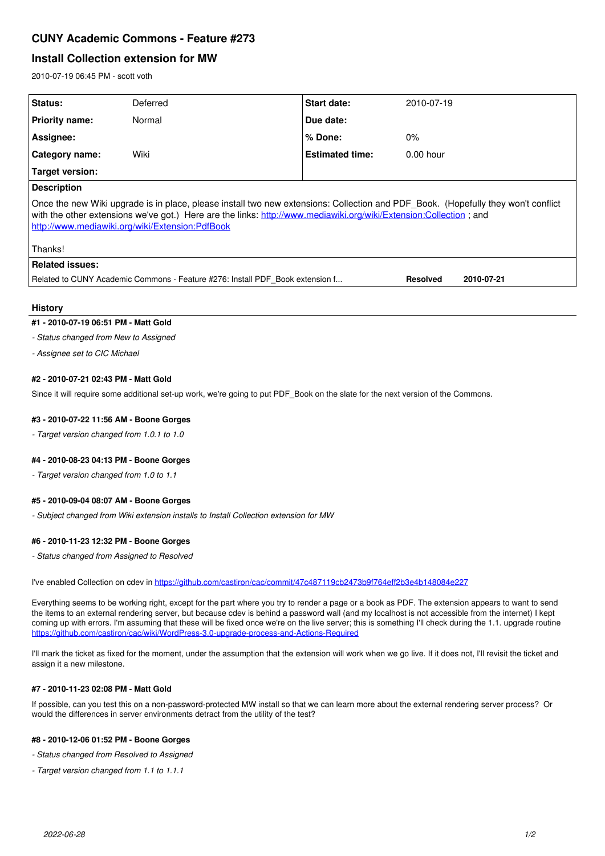# **CUNY Academic Commons - Feature #273**

## **Install Collection extension for MW**

2010-07-19 06:45 PM - scott voth

| Status:                                                                                                                                                                                                                                                                                                   | Deferred | <b>Start date:</b>     | 2010-07-19      |            |
|-----------------------------------------------------------------------------------------------------------------------------------------------------------------------------------------------------------------------------------------------------------------------------------------------------------|----------|------------------------|-----------------|------------|
| <b>Priority name:</b>                                                                                                                                                                                                                                                                                     | Normal   | Due date:              |                 |            |
| Assignee:                                                                                                                                                                                                                                                                                                 |          | % Done:                | $0\%$           |            |
| <b>Category name:</b>                                                                                                                                                                                                                                                                                     | Wiki     | <b>Estimated time:</b> | $0.00$ hour     |            |
| Target version:                                                                                                                                                                                                                                                                                           |          |                        |                 |            |
| <b>Description</b>                                                                                                                                                                                                                                                                                        |          |                        |                 |            |
| Once the new Wiki upgrade is in place, please install two new extensions: Collection and PDF Book. (Hopefully they won't conflict<br>with the other extensions we've got.) Here are the links: http://www.mediawiki.org/wiki/Extension:Collection; and<br>http://www.mediawiki.org/wiki/Extension:PdfBook |          |                        |                 |            |
| Thanks!                                                                                                                                                                                                                                                                                                   |          |                        |                 |            |
| <b>Related issues:</b>                                                                                                                                                                                                                                                                                    |          |                        |                 |            |
| Related to CUNY Academic Commons - Feature #276: Install PDF Book extension f                                                                                                                                                                                                                             |          |                        | <b>Resolved</b> | 2010-07-21 |

#### **History**

#### **#1 - 2010-07-19 06:51 PM - Matt Gold**

*- Status changed from New to Assigned*

*- Assignee set to CIC Michael*

#### **#2 - 2010-07-21 02:43 PM - Matt Gold**

Since it will require some additional set-up work, we're going to put PDF\_Book on the slate for the next version of the Commons.

## **#3 - 2010-07-22 11:56 AM - Boone Gorges**

*- Target version changed from 1.0.1 to 1.0*

## **#4 - 2010-08-23 04:13 PM - Boone Gorges**

*- Target version changed from 1.0 to 1.1*

#### **#5 - 2010-09-04 08:07 AM - Boone Gorges**

*- Subject changed from Wiki extension installs to Install Collection extension for MW*

#### **#6 - 2010-11-23 12:32 PM - Boone Gorges**

*- Status changed from Assigned to Resolved*

I've enabled Collection on cdev in<https://github.com/castiron/cac/commit/47c487119cb2473b9f764eff2b3e4b148084e227>

Everything seems to be working right, except for the part where you try to render a page or a book as PDF. The extension appears to want to send the items to an external rendering server, but because cdev is behind a password wall (and my localhost is not accessible from the internet) I kept coming up with errors. I'm assuming that these will be fixed once we're on the live server; this is something I'll check during the 1.1. upgrade routine <https://github.com/castiron/cac/wiki/WordPress-3.0-upgrade-process-and-Actions-Required>

I'll mark the ticket as fixed for the moment, under the assumption that the extension will work when we go live. If it does not, I'll revisit the ticket and assign it a new milestone.

#### **#7 - 2010-11-23 02:08 PM - Matt Gold**

If possible, can you test this on a non-password-protected MW install so that we can learn more about the external rendering server process? Or would the differences in server environments detract from the utility of the test?

#### **#8 - 2010-12-06 01:52 PM - Boone Gorges**

- *Status changed from Resolved to Assigned*
- *Target version changed from 1.1 to 1.1.1*